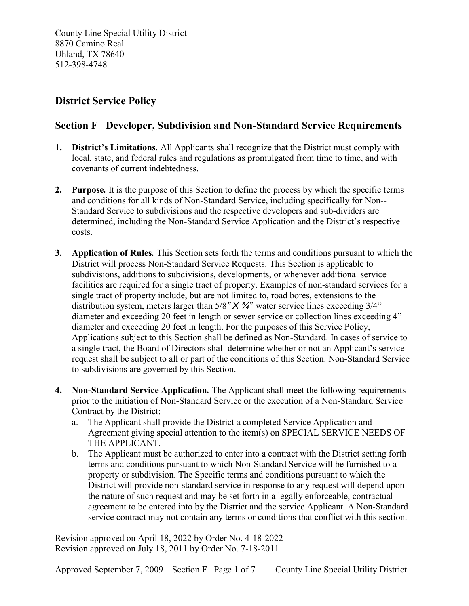County Line Special Utility District 8870 Camino Real Uhland, TX 78640 512-398-4748

## District Service Policy

## Section F Developer, Subdivision and Non-Standard Service Requirements

- 1. District's Limitations. All Applicants shall recognize that the District must comply with local, state, and federal rules and regulations as promulgated from time to time, and with covenants of current indebtedness.
- 2. Purpose. It is the purpose of this Section to define the process by which the specific terms and conditions for all kinds of Non-Standard Service, including specifically for Non-- Standard Service to subdivisions and the respective developers and sub-dividers are determined, including the Non-Standard Service Application and the District's respective costs.
- 3. Application of Rules. This Section sets forth the terms and conditions pursuant to which the District will process Non-Standard Service Requests. This Section is applicable to subdivisions, additions to subdivisions, developments, or whenever additional service facilities are required for a single tract of property. Examples of non-standard services for a single tract of property include, but are not limited to, road bores, extensions to the distribution system, meters larger than  $5/8$ " X  $\frac{3}{4}$ " water service lines exceeding  $3/4$ " diameter and exceeding 20 feet in length or sewer service or collection lines exceeding 4" diameter and exceeding 20 feet in length. For the purposes of this Service Policy, Applications subject to this Section shall be defined as Non-Standard. In cases of service to a single tract, the Board of Directors shall determine whether or not an Applicant's service request shall be subject to all or part of the conditions of this Section. Non-Standard Service to subdivisions are governed by this Section.
- 4. Non-Standard Service Application. The Applicant shall meet the following requirements prior to the initiation of Non-Standard Service or the execution of a Non-Standard Service Contract by the District:
	- a. The Applicant shall provide the District a completed Service Application and Agreement giving special attention to the item(s) on SPECIAL SERVICE NEEDS OF THE APPLICANT.
	- b. The Applicant must be authorized to enter into a contract with the District setting forth terms and conditions pursuant to which Non-Standard Service will be furnished to a property or subdivision. The Specific terms and conditions pursuant to which the District will provide non-standard service in response to any request will depend upon the nature of such request and may be set forth in a legally enforceable, contractual agreement to be entered into by the District and the service Applicant. A Non-Standard service contract may not contain any terms or conditions that conflict with this section.

Revision approved on April 18, 2022 by Order No. 4-18-2022 Revision approved on July 18, 2011 by Order No. 7-18-2011

Approved September 7, 2009 Section F Page 1 of 7 County Line Special Utility District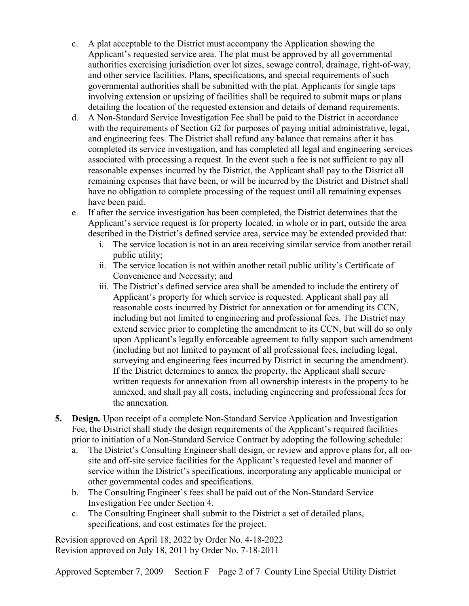- c. A plat acceptable to the District must accompany the Application showing the Applicant's requested service area. The plat must be approved by all governmental authorities exercising jurisdiction over lot sizes, sewage control, drainage, right-of-way, and other service facilities. Plans, specifications, and special requirements of such governmental authorities shall be submitted with the plat. Applicants for single taps involving extension or upsizing of facilities shall be required to submit maps or plans detailing the location of the requested extension and details of demand requirements.
- d. A Non-Standard Service Investigation Fee shall be paid to the District in accordance with the requirements of Section G2 for purposes of paying initial administrative, legal, and engineering fees. The District shall refund any balance that remains after it has completed its service investigation, and has completed all legal and engineering services associated with processing a request. In the event such a fee is not sufficient to pay all reasonable expenses incurred by the District, the Applicant shall pay to the District all remaining expenses that have been, or will be incurred by the District and District shall have no obligation to complete processing of the request until all remaining expenses have been paid.
- e. If after the service investigation has been completed, the District determines that the Applicant's service request is for property located, in whole or in part, outside the area described in the District's defined service area, service may be extended provided that:
	- i. The service location is not in an area receiving similar service from another retail public utility;
	- ii. The service location is not within another retail public utility's Certificate of Convenience and Necessity; and
	- iii. The District's defined service area shall be amended to include the entirety of Applicant's property for which service is requested. Applicant shall pay all reasonable costs incurred by District for annexation or for amending its CCN, including but not limited to engineering and professional fees. The District may extend service prior to completing the amendment to its CCN, but will do so only upon Applicant's legally enforceable agreement to fully support such amendment (including but not limited to payment of all professional fees, including legal, surveying and engineering fees incurred by District in securing the amendment). If the District determines to annex the property, the Applicant shall secure written requests for annexation from all ownership interests in the property to be annexed, and shall pay all costs, including engineering and professional fees for the annexation.
- 5. Design. Upon receipt of a complete Non-Standard Service Application and Investigation Fee, the District shall study the design requirements of the Applicant's required facilities prior to initiation of a Non-Standard Service Contract by adopting the following schedule:
	- a. The District's Consulting Engineer shall design, or review and approve plans for, all onsite and off-site service facilities for the Applicant's requested level and manner of service within the District's specifications, incorporating any applicable municipal or other governmental codes and specifications.
	- b. The Consulting Engineer's fees shall be paid out of the Non-Standard Service Investigation Fee under Section 4.
	- c. The Consulting Engineer shall submit to the District a set of detailed plans, specifications, and cost estimates for the project.

Revision approved on April 18, 2022 by Order No. 4-18-2022 Revision approved on July 18, 2011 by Order No. 7-18-2011

Approved September 7, 2009 Section F Page 2 of 7 County Line Special Utility District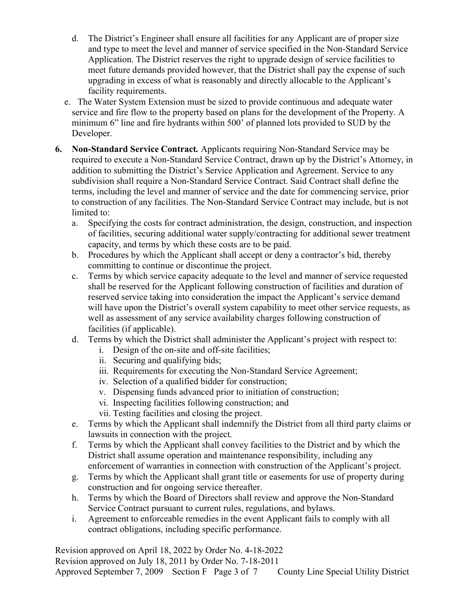- d. The District's Engineer shall ensure all facilities for any Applicant are of proper size and type to meet the level and manner of service specified in the Non-Standard Service Application. The District reserves the right to upgrade design of service facilities to meet future demands provided however, that the District shall pay the expense of such upgrading in excess of what is reasonably and directly allocable to the Applicant's facility requirements.
- e. The Water System Extension must be sized to provide continuous and adequate water service and fire flow to the property based on plans for the development of the Property. A minimum 6" line and fire hydrants within 500' of planned lots provided to SUD by the Developer.
- 6. Non-Standard Service Contract. Applicants requiring Non-Standard Service may be required to execute a Non-Standard Service Contract, drawn up by the District's Attorney, in addition to submitting the District's Service Application and Agreement. Service to any subdivision shall require a Non-Standard Service Contract. Said Contract shall define the terms, including the level and manner of service and the date for commencing service, prior to construction of any facilities. The Non-Standard Service Contract may include, but is not limited to:
	- a. Specifying the costs for contract administration, the design, construction, and inspection of facilities, securing additional water supply/contracting for additional sewer treatment capacity, and terms by which these costs are to be paid.
	- b. Procedures by which the Applicant shall accept or deny a contractor's bid, thereby committing to continue or discontinue the project.
	- c. Terms by which service capacity adequate to the level and manner of service requested shall be reserved for the Applicant following construction of facilities and duration of reserved service taking into consideration the impact the Applicant's service demand will have upon the District's overall system capability to meet other service requests, as well as assessment of any service availability charges following construction of facilities (if applicable).
	- d. Terms by which the District shall administer the Applicant's project with respect to:
		- i. Design of the on-site and off-site facilities;
		- ii. Securing and qualifying bids;
		- iii. Requirements for executing the Non-Standard Service Agreement;
		- iv. Selection of a qualified bidder for construction;
		- v. Dispensing funds advanced prior to initiation of construction;
		- vi. Inspecting facilities following construction; and
		- vii. Testing facilities and closing the project.
	- e. Terms by which the Applicant shall indemnify the District from all third party claims or lawsuits in connection with the project.
	- f. Terms by which the Applicant shall convey facilities to the District and by which the District shall assume operation and maintenance responsibility, including any enforcement of warranties in connection with construction of the Applicant's project.
	- g. Terms by which the Applicant shall grant title or easements for use of property during construction and for ongoing service thereafter.
	- h. Terms by which the Board of Directors shall review and approve the Non-Standard Service Contract pursuant to current rules, regulations, and bylaws.
	- i. Agreement to enforceable remedies in the event Applicant fails to comply with all contract obligations, including specific performance.

Revision approved on April 18, 2022 by Order No. 4-18-2022

Revision approved on July 18, 2011 by Order No. 7-18-2011

Approved September 7, 2009 Section F Page 3 of 7 County Line Special Utility District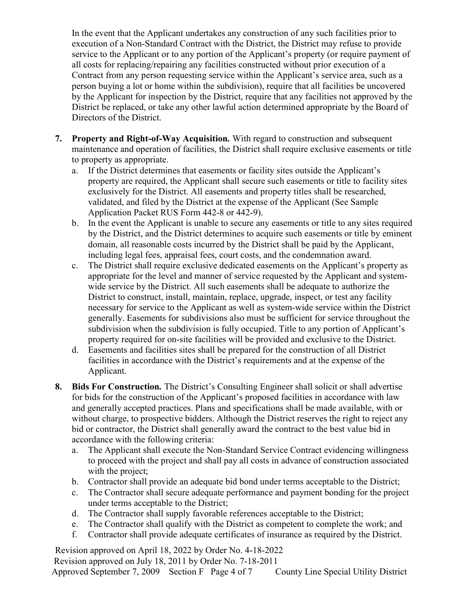In the event that the Applicant undertakes any construction of any such facilities prior to execution of a Non-Standard Contract with the District, the District may refuse to provide service to the Applicant or to any portion of the Applicant's property (or require payment of all costs for replacing/repairing any facilities constructed without prior execution of a Contract from any person requesting service within the Applicant's service area, such as a person buying a lot or home within the subdivision), require that all facilities be uncovered by the Applicant for inspection by the District, require that any facilities not approved by the District be replaced, or take any other lawful action determined appropriate by the Board of Directors of the District.

- 7. Property and Right-of-Way Acquisition. With regard to construction and subsequent maintenance and operation of facilities, the District shall require exclusive easements or title to property as appropriate.
	- a. If the District determines that easements or facility sites outside the Applicant's property are required, the Applicant shall secure such easements or title to facility sites exclusively for the District. All easements and property titles shall be researched, validated, and filed by the District at the expense of the Applicant (See Sample Application Packet RUS Form 442-8 or 442-9).
	- b. In the event the Applicant is unable to secure any easements or title to any sites required by the District, and the District determines to acquire such easements or title by eminent domain, all reasonable costs incurred by the District shall be paid by the Applicant, including legal fees, appraisal fees, court costs, and the condemnation award.
	- c. The District shall require exclusive dedicated easements on the Applicant's property as appropriate for the level and manner of service requested by the Applicant and systemwide service by the District. All such easements shall be adequate to authorize the District to construct, install, maintain, replace, upgrade, inspect, or test any facility necessary for service to the Applicant as well as system-wide service within the District generally. Easements for subdivisions also must be sufficient for service throughout the subdivision when the subdivision is fully occupied. Title to any portion of Applicant's property required for on-site facilities will be provided and exclusive to the District.
	- d. Easements and facilities sites shall be prepared for the construction of all District facilities in accordance with the District's requirements and at the expense of the Applicant.
- 8. Bids For Construction. The District's Consulting Engineer shall solicit or shall advertise for bids for the construction of the Applicant's proposed facilities in accordance with law and generally accepted practices. Plans and specifications shall be made available, with or without charge, to prospective bidders. Although the District reserves the right to reject any bid or contractor, the District shall generally award the contract to the best value bid in accordance with the following criteria:
	- a. The Applicant shall execute the Non-Standard Service Contract evidencing willingness to proceed with the project and shall pay all costs in advance of construction associated with the project;
	- b. Contractor shall provide an adequate bid bond under terms acceptable to the District;
	- c. The Contractor shall secure adequate performance and payment bonding for the project under terms acceptable to the District;
	- d. The Contractor shall supply favorable references acceptable to the District;
	- e. The Contractor shall qualify with the District as competent to complete the work; and
	- f. Contractor shall provide adequate certificates of insurance as required by the District.

Revision approved on April 18, 2022 by Order No. 4-18-2022 Revision approved on July 18, 2011 by Order No. 7-18-2011 Approved September 7, 2009 Section F Page 4 of 7 County Line Special Utility District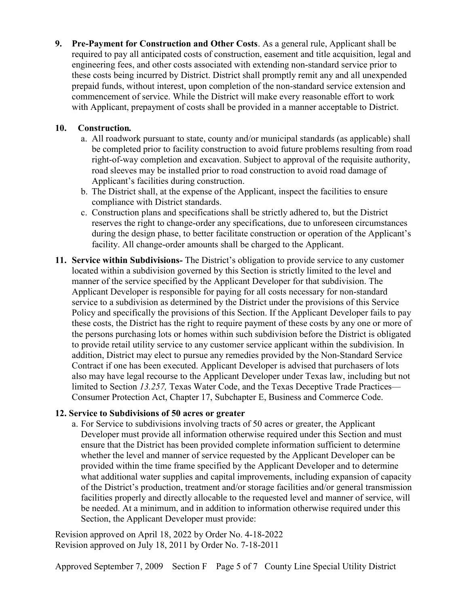9. Pre-Payment for Construction and Other Costs. As a general rule, Applicant shall be required to pay all anticipated costs of construction, easement and title acquisition, legal and engineering fees, and other costs associated with extending non-standard service prior to these costs being incurred by District. District shall promptly remit any and all unexpended prepaid funds, without interest, upon completion of the non-standard service extension and commencement of service. While the District will make every reasonable effort to work with Applicant, prepayment of costs shall be provided in a manner acceptable to District.

## 10. Construction.

- a. All roadwork pursuant to state, county and/or municipal standards (as applicable) shall be completed prior to facility construction to avoid future problems resulting from road right-of-way completion and excavation. Subject to approval of the requisite authority, road sleeves may be installed prior to road construction to avoid road damage of Applicant's facilities during construction.
- b. The District shall, at the expense of the Applicant, inspect the facilities to ensure compliance with District standards.
- c. Construction plans and specifications shall be strictly adhered to, but the District reserves the right to change-order any specifications, due to unforeseen circumstances during the design phase, to better facilitate construction or operation of the Applicant's facility. All change-order amounts shall be charged to the Applicant.
- 11. Service within Subdivisions- The District's obligation to provide service to any customer located within a subdivision governed by this Section is strictly limited to the level and manner of the service specified by the Applicant Developer for that subdivision. The Applicant Developer is responsible for paying for all costs necessary for non-standard service to a subdivision as determined by the District under the provisions of this Service Policy and specifically the provisions of this Section. If the Applicant Developer fails to pay these costs, the District has the right to require payment of these costs by any one or more of the persons purchasing lots or homes within such subdivision before the District is obligated to provide retail utility service to any customer service applicant within the subdivision. In addition, District may elect to pursue any remedies provided by the Non-Standard Service Contract if one has been executed. Applicant Developer is advised that purchasers of lots also may have legal recourse to the Applicant Developer under Texas law, including but not limited to Section 13.257, Texas Water Code, and the Texas Deceptive Trade Practices— Consumer Protection Act, Chapter 17, Subchapter E, Business and Commerce Code.

## 12. Service to Subdivisions of 50 acres or greater

a. For Service to subdivisions involving tracts of 50 acres or greater, the Applicant Developer must provide all information otherwise required under this Section and must ensure that the District has been provided complete information sufficient to determine whether the level and manner of service requested by the Applicant Developer can be provided within the time frame specified by the Applicant Developer and to determine what additional water supplies and capital improvements, including expansion of capacity of the District's production, treatment and/or storage facilities and/or general transmission facilities properly and directly allocable to the requested level and manner of service, will be needed. At a minimum, and in addition to information otherwise required under this Section, the Applicant Developer must provide:

Revision approved on April 18, 2022 by Order No. 4-18-2022 Revision approved on July 18, 2011 by Order No. 7-18-2011

Approved September 7, 2009 Section F Page 5 of 7 County Line Special Utility District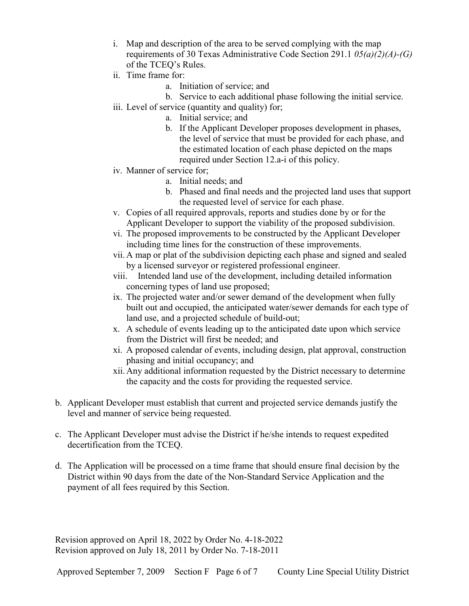- i. Map and description of the area to be served complying with the map requirements of 30 Texas Administrative Code Section 291.1  $0.5(a)(2)(A)-(G)$ of the TCEQ's Rules.
- ii. Time frame for:
	- a. Initiation of service; and
	- b. Service to each additional phase following the initial service.
- iii. Level of service (quantity and quality) for;
	- a. Initial service; and
	- b. If the Applicant Developer proposes development in phases, the level of service that must be provided for each phase, and the estimated location of each phase depicted on the maps required under Section 12.a-i of this policy.
- iv. Manner of service for;
	- a. Initial needs; and
	- b. Phased and final needs and the projected land uses that support the requested level of service for each phase.
- v. Copies of all required approvals, reports and studies done by or for the Applicant Developer to support the viability of the proposed subdivision.
- vi. The proposed improvements to be constructed by the Applicant Developer including time lines for the construction of these improvements.
- vii. A map or plat of the subdivision depicting each phase and signed and sealed by a licensed surveyor or registered professional engineer.
- viii. Intended land use of the development, including detailed information concerning types of land use proposed;
- ix. The projected water and/or sewer demand of the development when fully built out and occupied, the anticipated water/sewer demands for each type of land use, and a projected schedule of build-out;
- x. A schedule of events leading up to the anticipated date upon which service from the District will first be needed; and
- xi. A proposed calendar of events, including design, plat approval, construction phasing and initial occupancy; and
- xii. Any additional information requested by the District necessary to determine the capacity and the costs for providing the requested service.
- b. Applicant Developer must establish that current and projected service demands justify the level and manner of service being requested.
- c. The Applicant Developer must advise the District if he/she intends to request expedited decertification from the TCEQ.
- d. The Application will be processed on a time frame that should ensure final decision by the District within 90 days from the date of the Non-Standard Service Application and the payment of all fees required by this Section.

Revision approved on April 18, 2022 by Order No. 4-18-2022 Revision approved on July 18, 2011 by Order No. 7-18-2011